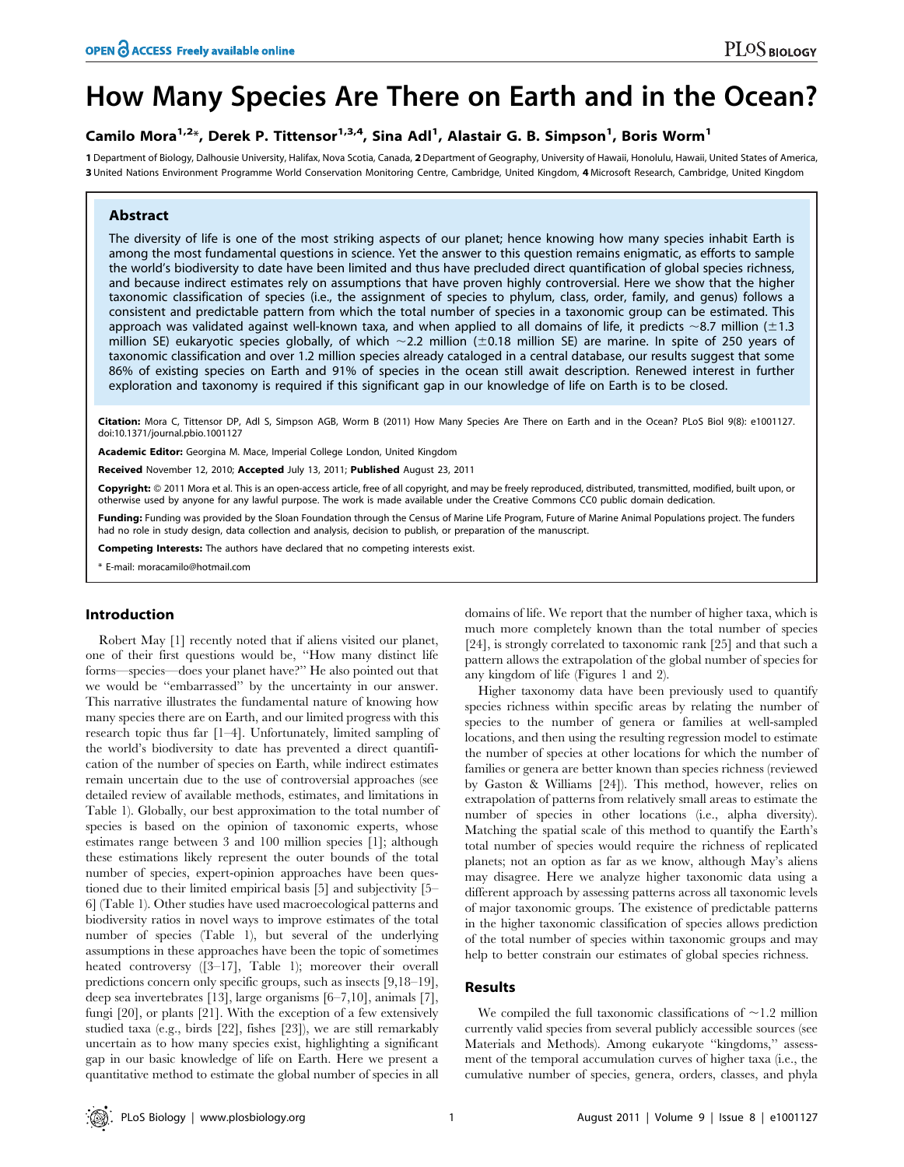# How Many Species Are There on Earth and in the Ocean?

# Camilo Mora<sup>1,2</sup>\*, Derek P. Tittensor<sup>1,3,4</sup>, Sina Adl<sup>1</sup>, Alastair G. B. Simpson<sup>1</sup>, Boris Worm<sup>1</sup>

1 Department of Biology, Dalhousie University, Halifax, Nova Scotia, Canada, 2 Department of Geography, University of Hawaii, Honolulu, Hawaii, United States of America, 3 United Nations Environment Programme World Conservation Monitoring Centre, Cambridge, United Kingdom, 4 Microsoft Research, Cambridge, United Kingdom

# Abstract

The diversity of life is one of the most striking aspects of our planet; hence knowing how many species inhabit Earth is among the most fundamental questions in science. Yet the answer to this question remains enigmatic, as efforts to sample the world's biodiversity to date have been limited and thus have precluded direct quantification of global species richness, and because indirect estimates rely on assumptions that have proven highly controversial. Here we show that the higher taxonomic classification of species (i.e., the assignment of species to phylum, class, order, family, and genus) follows a consistent and predictable pattern from which the total number of species in a taxonomic group can be estimated. This approach was validated against well-known taxa, and when applied to all domains of life, it predicts  $\sim$ 8.7 million ( $\pm$ 1.3 million SE) eukaryotic species globally, of which  $\sim$ 2.2 million ( $\pm$ 0.18 million SE) are marine. In spite of 250 years of taxonomic classification and over 1.2 million species already cataloged in a central database, our results suggest that some 86% of existing species on Earth and 91% of species in the ocean still await description. Renewed interest in further exploration and taxonomy is required if this significant gap in our knowledge of life on Earth is to be closed.

Citation: Mora C, Tittensor DP, Adl S, Simpson AGB, Worm B (2011) How Many Species Are There on Earth and in the Ocean? PLoS Biol 9(8): e1001127. doi:10.1371/journal.pbio.1001127

Academic Editor: Georgina M. Mace, Imperial College London, United Kingdom

Received November 12, 2010; Accepted July 13, 2011; Published August 23, 2011

Copyright: © 2011 Mora et al. This is an open-access article, free of all copyright, and may be freely reproduced, distributed, transmitted, modified, built upon, or otherwise used by anyone for any lawful purpose. The work is made available under the Creative Commons CC0 public domain dedication.

Funding: Funding was provided by the Sloan Foundation through the Census of Marine Life Program, Future of Marine Animal Populations project. The funders had no role in study design, data collection and analysis, decision to publish, or preparation of the manuscript.

Competing Interests: The authors have declared that no competing interests exist.

\* E-mail: moracamilo@hotmail.com

## Introduction

Robert May [1] recently noted that if aliens visited our planet, one of their first questions would be, ''How many distinct life forms—species—does your planet have?'' He also pointed out that we would be ''embarrassed'' by the uncertainty in our answer. This narrative illustrates the fundamental nature of knowing how many species there are on Earth, and our limited progress with this research topic thus far [1–4]. Unfortunately, limited sampling of the world's biodiversity to date has prevented a direct quantification of the number of species on Earth, while indirect estimates remain uncertain due to the use of controversial approaches (see detailed review of available methods, estimates, and limitations in Table 1). Globally, our best approximation to the total number of species is based on the opinion of taxonomic experts, whose estimates range between 3 and 100 million species [1]; although these estimations likely represent the outer bounds of the total number of species, expert-opinion approaches have been questioned due to their limited empirical basis [5] and subjectivity [5– 6] (Table 1). Other studies have used macroecological patterns and biodiversity ratios in novel ways to improve estimates of the total number of species (Table 1), but several of the underlying assumptions in these approaches have been the topic of sometimes heated controversy ([3–17], Table 1); moreover their overall predictions concern only specific groups, such as insects [9,18–19], deep sea invertebrates [13], large organisms [6–7,10], animals [7], fungi [20], or plants [21]. With the exception of a few extensively studied taxa (e.g., birds [22], fishes [23]), we are still remarkably uncertain as to how many species exist, highlighting a significant gap in our basic knowledge of life on Earth. Here we present a quantitative method to estimate the global number of species in all

domains of life. We report that the number of higher taxa, which is much more completely known than the total number of species [24], is strongly correlated to taxonomic rank [25] and that such a pattern allows the extrapolation of the global number of species for any kingdom of life (Figures 1 and 2).

Higher taxonomy data have been previously used to quantify species richness within specific areas by relating the number of species to the number of genera or families at well-sampled locations, and then using the resulting regression model to estimate the number of species at other locations for which the number of families or genera are better known than species richness (reviewed by Gaston & Williams [24]). This method, however, relies on extrapolation of patterns from relatively small areas to estimate the number of species in other locations (i.e., alpha diversity). Matching the spatial scale of this method to quantify the Earth's total number of species would require the richness of replicated planets; not an option as far as we know, although May's aliens may disagree. Here we analyze higher taxonomic data using a different approach by assessing patterns across all taxonomic levels of major taxonomic groups. The existence of predictable patterns in the higher taxonomic classification of species allows prediction of the total number of species within taxonomic groups and may help to better constrain our estimates of global species richness.

# Results

We compiled the full taxonomic classifications of  $\sim$ 1.2 million currently valid species from several publicly accessible sources (see Materials and Methods). Among eukaryote ''kingdoms,'' assessment of the temporal accumulation curves of higher taxa (i.e., the cumulative number of species, genera, orders, classes, and phyla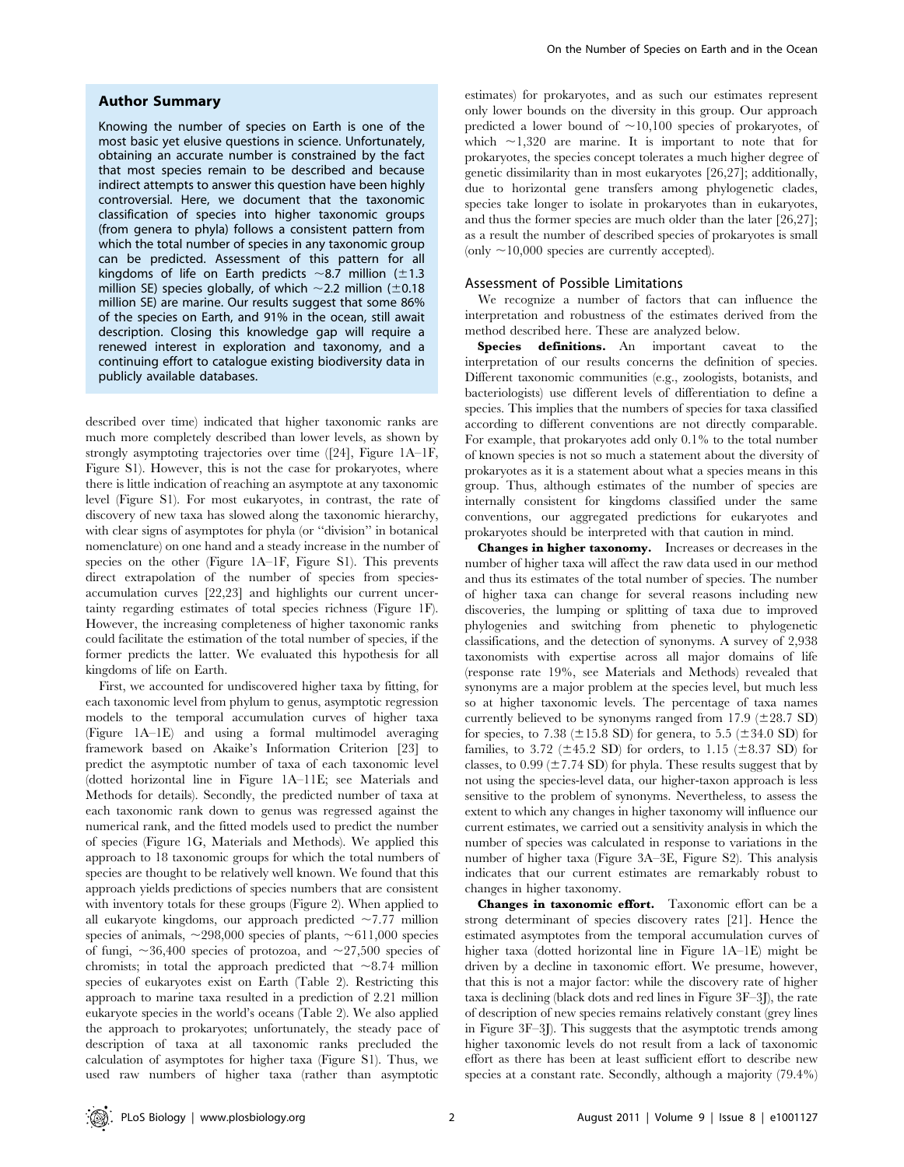#### Author Summary

Knowing the number of species on Earth is one of the most basic yet elusive questions in science. Unfortunately, obtaining an accurate number is constrained by the fact that most species remain to be described and because indirect attempts to answer this question have been highly controversial. Here, we document that the taxonomic classification of species into higher taxonomic groups (from genera to phyla) follows a consistent pattern from which the total number of species in any taxonomic group can be predicted. Assessment of this pattern for all kingdoms of life on Earth predicts  $\sim$ 8.7 million ( $\pm$ 1.3 million SE) species globally, of which  $\sim$  2.2 million ( $\pm$ 0.18 million SE) are marine. Our results suggest that some 86% of the species on Earth, and 91% in the ocean, still await description. Closing this knowledge gap will require a renewed interest in exploration and taxonomy, and a continuing effort to catalogue existing biodiversity data in publicly available databases.

described over time) indicated that higher taxonomic ranks are much more completely described than lower levels, as shown by strongly asymptoting trajectories over time ([24], Figure 1A–1F, Figure S1). However, this is not the case for prokaryotes, where there is little indication of reaching an asymptote at any taxonomic level (Figure S1). For most eukaryotes, in contrast, the rate of discovery of new taxa has slowed along the taxonomic hierarchy, with clear signs of asymptotes for phyla (or ''division'' in botanical nomenclature) on one hand and a steady increase in the number of species on the other (Figure 1A–1F, Figure S1). This prevents direct extrapolation of the number of species from speciesaccumulation curves [22,23] and highlights our current uncertainty regarding estimates of total species richness (Figure 1F). However, the increasing completeness of higher taxonomic ranks could facilitate the estimation of the total number of species, if the former predicts the latter. We evaluated this hypothesis for all kingdoms of life on Earth.

First, we accounted for undiscovered higher taxa by fitting, for each taxonomic level from phylum to genus, asymptotic regression models to the temporal accumulation curves of higher taxa (Figure 1A–1E) and using a formal multimodel averaging framework based on Akaike's Information Criterion [23] to predict the asymptotic number of taxa of each taxonomic level (dotted horizontal line in Figure 1A–11E; see Materials and Methods for details). Secondly, the predicted number of taxa at each taxonomic rank down to genus was regressed against the numerical rank, and the fitted models used to predict the number of species (Figure 1G, Materials and Methods). We applied this approach to 18 taxonomic groups for which the total numbers of species are thought to be relatively well known. We found that this approach yields predictions of species numbers that are consistent with inventory totals for these groups (Figure 2). When applied to all eukaryote kingdoms, our approach predicted  $\sim$ 7.77 million species of animals,  $\sim$ 298,000 species of plants,  $\sim$ 611,000 species of fungi,  $\sim 36,400$  species of protozoa, and  $\sim 27,500$  species of chromists; in total the approach predicted that  $\sim 8.74$  million species of eukaryotes exist on Earth (Table 2). Restricting this approach to marine taxa resulted in a prediction of 2.21 million eukaryote species in the world's oceans (Table 2). We also applied the approach to prokaryotes; unfortunately, the steady pace of description of taxa at all taxonomic ranks precluded the calculation of asymptotes for higher taxa (Figure S1). Thus, we used raw numbers of higher taxa (rather than asymptotic

estimates) for prokaryotes, and as such our estimates represent only lower bounds on the diversity in this group. Our approach predicted a lower bound of  $\sim$ 10,100 species of prokaryotes, of which  $\sim$ 1,320 are marine. It is important to note that for prokaryotes, the species concept tolerates a much higher degree of genetic dissimilarity than in most eukaryotes [26,27]; additionally, due to horizontal gene transfers among phylogenetic clades, species take longer to isolate in prokaryotes than in eukaryotes, and thus the former species are much older than the later [26,27]; as a result the number of described species of prokaryotes is small (only  $\sim$ 10,000 species are currently accepted).

#### Assessment of Possible Limitations

We recognize a number of factors that can influence the interpretation and robustness of the estimates derived from the method described here. These are analyzed below.

Species definitions. An important caveat to the interpretation of our results concerns the definition of species. Different taxonomic communities (e.g., zoologists, botanists, and bacteriologists) use different levels of differentiation to define a species. This implies that the numbers of species for taxa classified according to different conventions are not directly comparable. For example, that prokaryotes add only 0.1% to the total number of known species is not so much a statement about the diversity of prokaryotes as it is a statement about what a species means in this group. Thus, although estimates of the number of species are internally consistent for kingdoms classified under the same conventions, our aggregated predictions for eukaryotes and prokaryotes should be interpreted with that caution in mind.

Changes in higher taxonomy. Increases or decreases in the number of higher taxa will affect the raw data used in our method and thus its estimates of the total number of species. The number of higher taxa can change for several reasons including new discoveries, the lumping or splitting of taxa due to improved phylogenies and switching from phenetic to phylogenetic classifications, and the detection of synonyms. A survey of 2,938 taxonomists with expertise across all major domains of life (response rate 19%, see Materials and Methods) revealed that synonyms are a major problem at the species level, but much less so at higher taxonomic levels. The percentage of taxa names currently believed to be synonyms ranged from  $17.9$  ( $\pm$ 28.7 SD) for species, to 7.38 ( $\pm$ 15.8 SD) for genera, to 5.5 ( $\pm$ 34.0 SD) for families, to 3.72 ( $\pm$ 45.2 SD) for orders, to 1.15 ( $\pm$ 8.37 SD) for classes, to  $0.99 \, (\pm 7.74 \, \text{SD})$  for phyla. These results suggest that by not using the species-level data, our higher-taxon approach is less sensitive to the problem of synonyms. Nevertheless, to assess the extent to which any changes in higher taxonomy will influence our current estimates, we carried out a sensitivity analysis in which the number of species was calculated in response to variations in the number of higher taxa (Figure 3A–3E, Figure S2). This analysis indicates that our current estimates are remarkably robust to changes in higher taxonomy.

Changes in taxonomic effort. Taxonomic effort can be a strong determinant of species discovery rates [21]. Hence the estimated asymptotes from the temporal accumulation curves of higher taxa (dotted horizontal line in Figure 1A–1E) might be driven by a decline in taxonomic effort. We presume, however, that this is not a major factor: while the discovery rate of higher taxa is declining (black dots and red lines in Figure 3F–3J), the rate of description of new species remains relatively constant (grey lines in Figure 3F–3J). This suggests that the asymptotic trends among higher taxonomic levels do not result from a lack of taxonomic effort as there has been at least sufficient effort to describe new species at a constant rate. Secondly, although a majority (79.4%)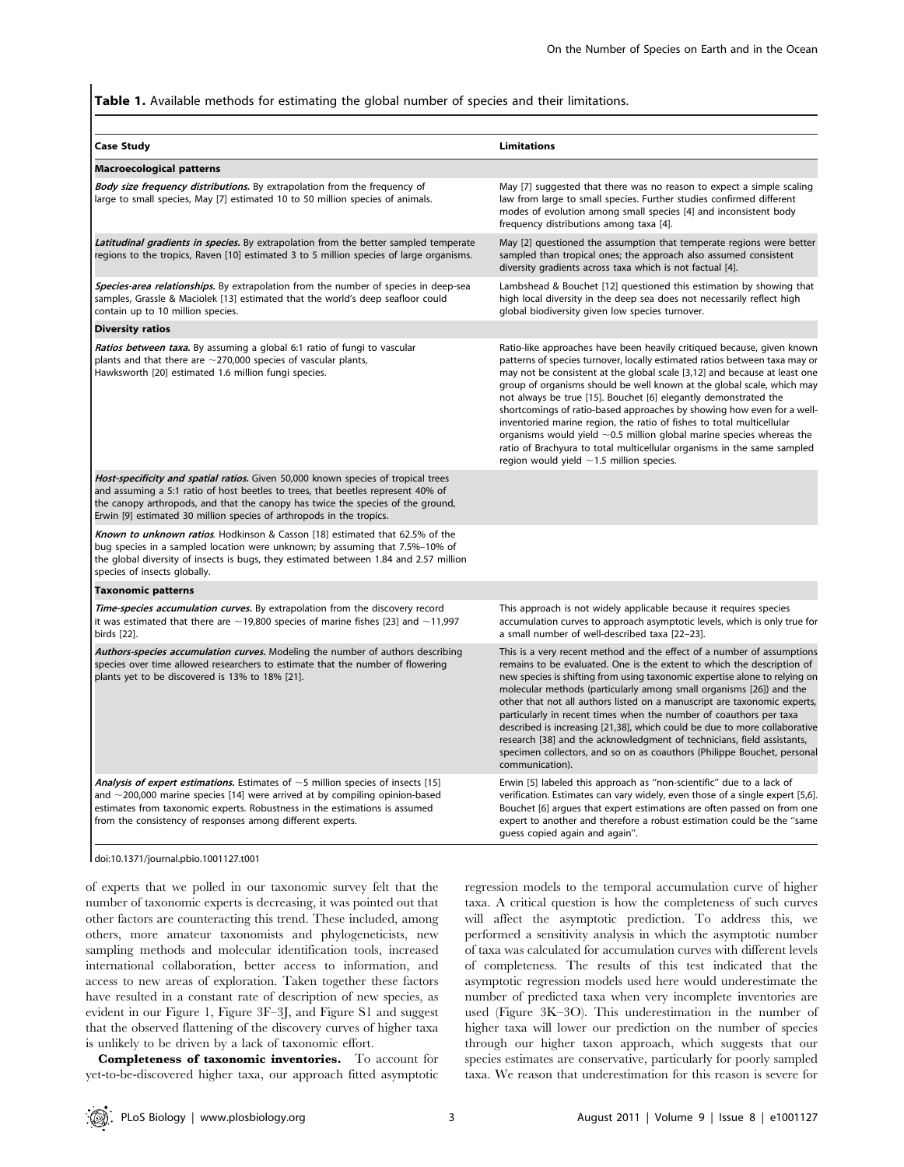Table 1. Available methods for estimating the global number of species and their limitations.

| <b>Case Study</b>                                                                                                                                                                                                                                                                                                                       | <b>Limitations</b>                                                                                                                                                                                                                                                                                                                                                                                                                                                                                                                                                                                                                                                                                                                           |  |  |  |  |  |
|-----------------------------------------------------------------------------------------------------------------------------------------------------------------------------------------------------------------------------------------------------------------------------------------------------------------------------------------|----------------------------------------------------------------------------------------------------------------------------------------------------------------------------------------------------------------------------------------------------------------------------------------------------------------------------------------------------------------------------------------------------------------------------------------------------------------------------------------------------------------------------------------------------------------------------------------------------------------------------------------------------------------------------------------------------------------------------------------------|--|--|--|--|--|
| <b>Macroecological patterns</b>                                                                                                                                                                                                                                                                                                         |                                                                                                                                                                                                                                                                                                                                                                                                                                                                                                                                                                                                                                                                                                                                              |  |  |  |  |  |
| <b>Body size frequency distributions.</b> By extrapolation from the frequency of<br>large to small species, May [7] estimated 10 to 50 million species of animals.                                                                                                                                                                      | May [7] suggested that there was no reason to expect a simple scaling<br>law from large to small species. Further studies confirmed different<br>modes of evolution among small species [4] and inconsistent body<br>frequency distributions among taxa [4].                                                                                                                                                                                                                                                                                                                                                                                                                                                                                 |  |  |  |  |  |
| <b>Latitudinal gradients in species.</b> By extrapolation from the better sampled temperate<br>regions to the tropics, Raven [10] estimated 3 to 5 million species of large organisms.                                                                                                                                                  | May [2] questioned the assumption that temperate regions were better<br>sampled than tropical ones; the approach also assumed consistent<br>diversity gradients across taxa which is not factual [4].                                                                                                                                                                                                                                                                                                                                                                                                                                                                                                                                        |  |  |  |  |  |
| Species-area relationships. By extrapolation from the number of species in deep-sea<br>samples, Grassle & Maciolek [13] estimated that the world's deep seafloor could<br>contain up to 10 million species.                                                                                                                             | Lambshead & Bouchet [12] questioned this estimation by showing that<br>high local diversity in the deep sea does not necessarily reflect high<br>global biodiversity given low species turnover.                                                                                                                                                                                                                                                                                                                                                                                                                                                                                                                                             |  |  |  |  |  |
| <b>Diversity ratios</b>                                                                                                                                                                                                                                                                                                                 |                                                                                                                                                                                                                                                                                                                                                                                                                                                                                                                                                                                                                                                                                                                                              |  |  |  |  |  |
| Ratios between taxa. By assuming a global 6:1 ratio of fungi to vascular<br>plants and that there are $\sim$ 270,000 species of vascular plants,<br>Hawksworth [20] estimated 1.6 million fungi species.                                                                                                                                | Ratio-like approaches have been heavily critiqued because, given known<br>patterns of species turnover, locally estimated ratios between taxa may or<br>may not be consistent at the global scale [3,12] and because at least one<br>group of organisms should be well known at the global scale, which may<br>not always be true [15]. Bouchet [6] elegantly demonstrated the<br>shortcomings of ratio-based approaches by showing how even for a well-<br>inventoried marine region, the ratio of fishes to total multicellular<br>organisms would yield $\sim$ 0.5 million global marine species whereas the<br>ratio of Brachyura to total multicellular organisms in the same sampled<br>region would yield $\sim$ 1.5 million species. |  |  |  |  |  |
| <i>Host-specificity and spatial ratios.</i> Given 50,000 known species of tropical trees<br>and assuming a 5:1 ratio of host beetles to trees, that beetles represent 40% of<br>the canopy arthropods, and that the canopy has twice the species of the ground,<br>Erwin [9] estimated 30 million species of arthropods in the tropics. |                                                                                                                                                                                                                                                                                                                                                                                                                                                                                                                                                                                                                                                                                                                                              |  |  |  |  |  |
| <b>Known to unknown ratios.</b> Hodkinson & Casson [18] estimated that 62.5% of the<br>bug species in a sampled location were unknown; by assuming that 7.5%-10% of<br>the global diversity of insects is bugs, they estimated between 1.84 and 2.57 million<br>species of insects globally.                                            |                                                                                                                                                                                                                                                                                                                                                                                                                                                                                                                                                                                                                                                                                                                                              |  |  |  |  |  |
| <b>Taxonomic patterns</b>                                                                                                                                                                                                                                                                                                               |                                                                                                                                                                                                                                                                                                                                                                                                                                                                                                                                                                                                                                                                                                                                              |  |  |  |  |  |
| Time-species accumulation curves. By extrapolation from the discovery record<br>it was estimated that there are $\sim$ 19,800 species of marine fishes [23] and $\sim$ 11,997<br>birds [22].                                                                                                                                            | This approach is not widely applicable because it requires species<br>accumulation curves to approach asymptotic levels, which is only true for<br>a small number of well-described taxa [22-23].                                                                                                                                                                                                                                                                                                                                                                                                                                                                                                                                            |  |  |  |  |  |
| Authors-species accumulation curves. Modeling the number of authors describing<br>species over time allowed researchers to estimate that the number of flowering<br>plants yet to be discovered is 13% to 18% [21].                                                                                                                     | This is a very recent method and the effect of a number of assumptions<br>remains to be evaluated. One is the extent to which the description of<br>new species is shifting from using taxonomic expertise alone to relying on<br>molecular methods (particularly among small organisms [26]) and the<br>other that not all authors listed on a manuscript are taxonomic experts,<br>particularly in recent times when the number of coauthors per taxa<br>described is increasing [21,38], which could be due to more collaborative<br>research [38] and the acknowledgment of technicians, field assistants,<br>specimen collectors, and so on as coauthors (Philippe Bouchet, personal<br>communication).                                 |  |  |  |  |  |
| Analysis of expert estimations. Estimates of $\sim$ 5 million species of insects [15]<br>and $\sim$ 200,000 marine species [14] were arrived at by compiling opinion-based<br>estimates from taxonomic experts. Robustness in the estimations is assumed<br>from the consistency of responses among different experts.                  | Erwin [5] labeled this approach as "non-scientific" due to a lack of<br>verification. Estimates can vary widely, even those of a single expert [5,6].<br>Bouchet [6] argues that expert estimations are often passed on from one<br>expert to another and therefore a robust estimation could be the "same<br>quess copied again and again".                                                                                                                                                                                                                                                                                                                                                                                                 |  |  |  |  |  |

doi:10.1371/journal.pbio.1001127.t001

of experts that we polled in our taxonomic survey felt that the number of taxonomic experts is decreasing, it was pointed out that other factors are counteracting this trend. These included, among others, more amateur taxonomists and phylogeneticists, new sampling methods and molecular identification tools, increased international collaboration, better access to information, and access to new areas of exploration. Taken together these factors have resulted in a constant rate of description of new species, as evident in our Figure 1, Figure 3F–3J, and Figure S1 and suggest that the observed flattening of the discovery curves of higher taxa is unlikely to be driven by a lack of taxonomic effort.

Completeness of taxonomic inventories. To account for yet-to-be-discovered higher taxa, our approach fitted asymptotic regression models to the temporal accumulation curve of higher taxa. A critical question is how the completeness of such curves will affect the asymptotic prediction. To address this, we performed a sensitivity analysis in which the asymptotic number of taxa was calculated for accumulation curves with different levels of completeness. The results of this test indicated that the asymptotic regression models used here would underestimate the number of predicted taxa when very incomplete inventories are used (Figure 3K–3O). This underestimation in the number of higher taxa will lower our prediction on the number of species through our higher taxon approach, which suggests that our species estimates are conservative, particularly for poorly sampled taxa. We reason that underestimation for this reason is severe for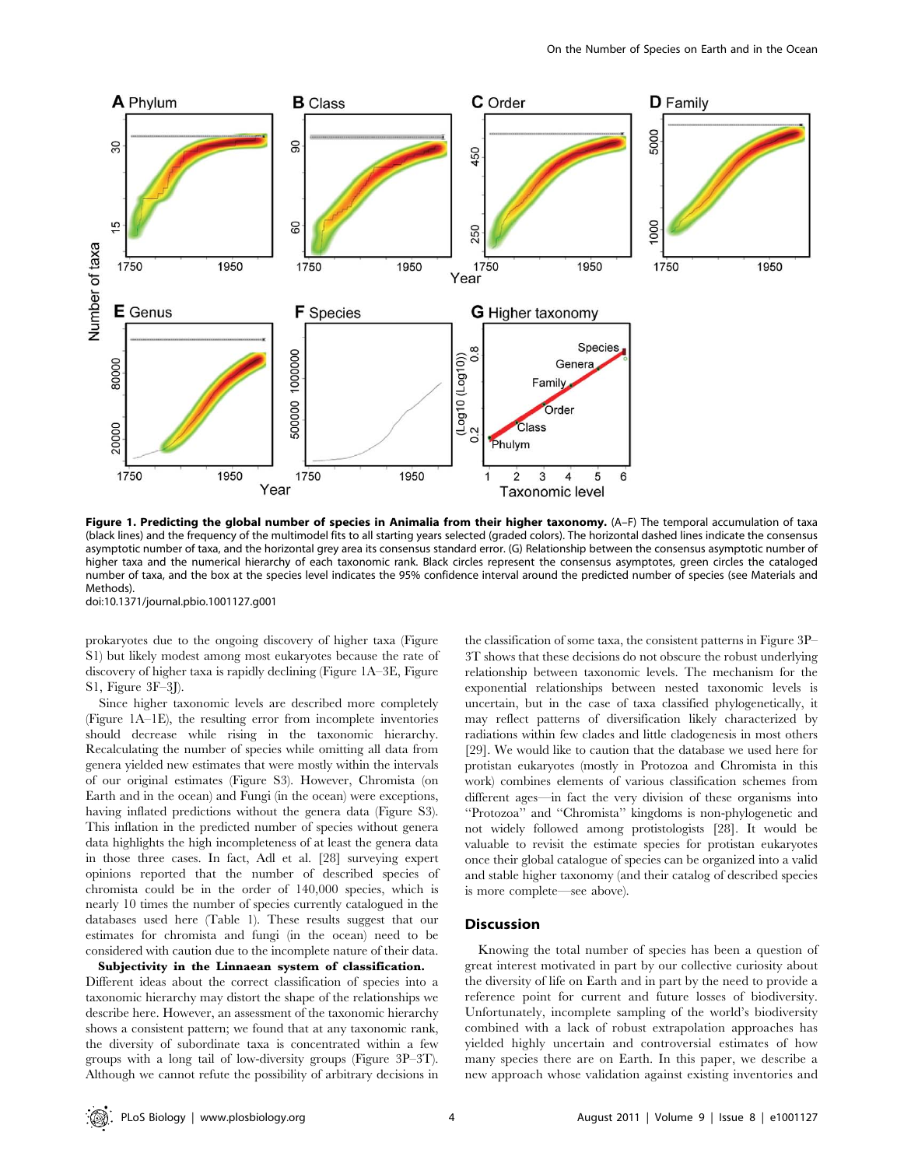

Figure 1. Predicting the global number of species in Animalia from their higher taxonomy. (A-F) The temporal accumulation of taxa (black lines) and the frequency of the multimodel fits to all starting years selected (graded colors). The horizontal dashed lines indicate the consensus asymptotic number of taxa, and the horizontal grey area its consensus standard error. (G) Relationship between the consensus asymptotic number of higher taxa and the numerical hierarchy of each taxonomic rank. Black circles represent the consensus asymptotes, green circles the cataloged number of taxa, and the box at the species level indicates the 95% confidence interval around the predicted number of species (see Materials and Methods).

doi:10.1371/journal.pbio.1001127.g001

prokaryotes due to the ongoing discovery of higher taxa (Figure S1) but likely modest among most eukaryotes because the rate of discovery of higher taxa is rapidly declining (Figure 1A–3E, Figure S1, Figure 3F–3J).

Since higher taxonomic levels are described more completely (Figure 1A–1E), the resulting error from incomplete inventories should decrease while rising in the taxonomic hierarchy. Recalculating the number of species while omitting all data from genera yielded new estimates that were mostly within the intervals of our original estimates (Figure S3). However, Chromista (on Earth and in the ocean) and Fungi (in the ocean) were exceptions, having inflated predictions without the genera data (Figure S3). This inflation in the predicted number of species without genera data highlights the high incompleteness of at least the genera data in those three cases. In fact, Adl et al. [28] surveying expert opinions reported that the number of described species of chromista could be in the order of 140,000 species, which is nearly 10 times the number of species currently catalogued in the databases used here (Table 1). These results suggest that our estimates for chromista and fungi (in the ocean) need to be considered with caution due to the incomplete nature of their data.

Subjectivity in the Linnaean system of classification. Different ideas about the correct classification of species into a taxonomic hierarchy may distort the shape of the relationships we describe here. However, an assessment of the taxonomic hierarchy shows a consistent pattern; we found that at any taxonomic rank, the diversity of subordinate taxa is concentrated within a few groups with a long tail of low-diversity groups (Figure 3P–3T). Although we cannot refute the possibility of arbitrary decisions in

the classification of some taxa, the consistent patterns in Figure 3P– 3T shows that these decisions do not obscure the robust underlying relationship between taxonomic levels. The mechanism for the exponential relationships between nested taxonomic levels is uncertain, but in the case of taxa classified phylogenetically, it may reflect patterns of diversification likely characterized by radiations within few clades and little cladogenesis in most others [29]. We would like to caution that the database we used here for protistan eukaryotes (mostly in Protozoa and Chromista in this work) combines elements of various classification schemes from different ages—in fact the very division of these organisms into ''Protozoa'' and ''Chromista'' kingdoms is non-phylogenetic and not widely followed among protistologists [28]. It would be valuable to revisit the estimate species for protistan eukaryotes once their global catalogue of species can be organized into a valid and stable higher taxonomy (and their catalog of described species is more complete—see above).

# Discussion

Knowing the total number of species has been a question of great interest motivated in part by our collective curiosity about the diversity of life on Earth and in part by the need to provide a reference point for current and future losses of biodiversity. Unfortunately, incomplete sampling of the world's biodiversity combined with a lack of robust extrapolation approaches has yielded highly uncertain and controversial estimates of how many species there are on Earth. In this paper, we describe a new approach whose validation against existing inventories and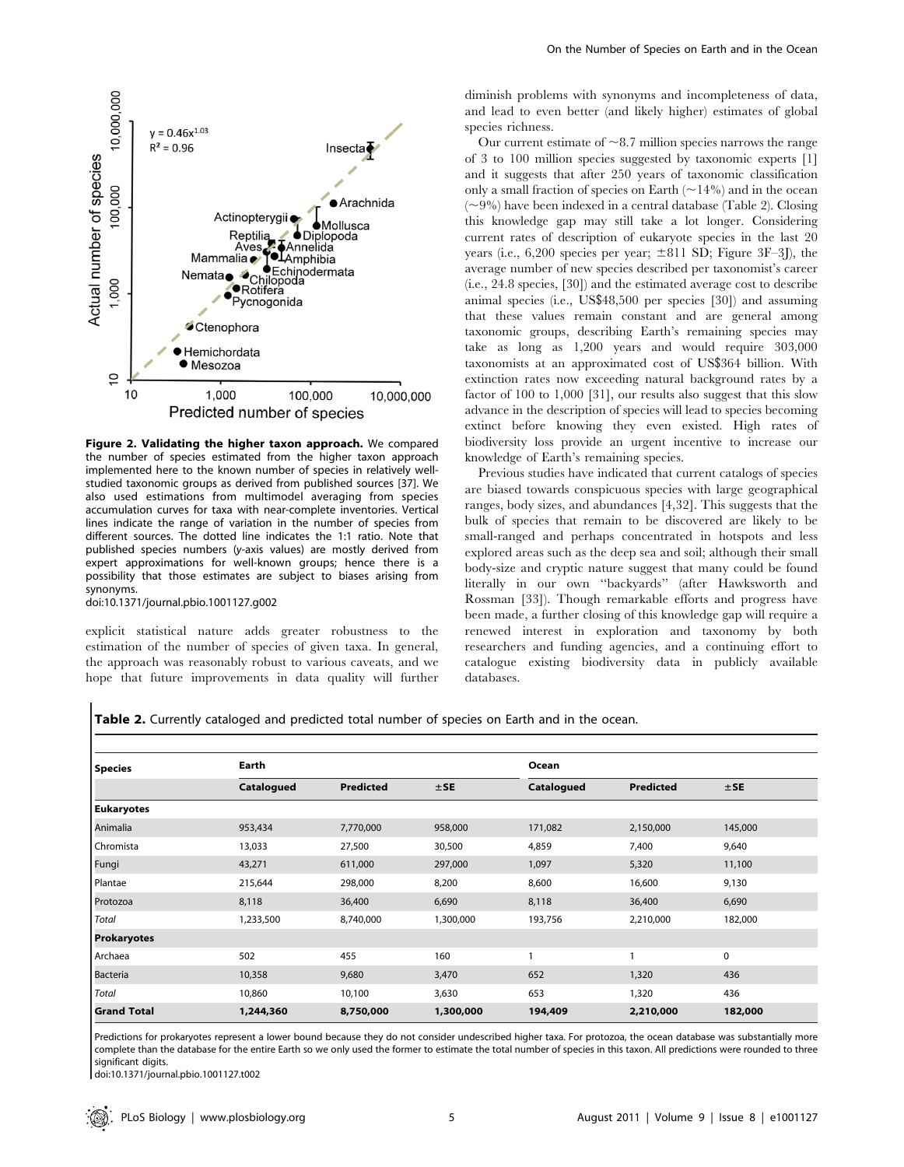

Figure 2. Validating the higher taxon approach. We compared the number of species estimated from the higher taxon approach implemented here to the known number of species in relatively wellstudied taxonomic groups as derived from published sources [37]. We also used estimations from multimodel averaging from species accumulation curves for taxa with near-complete inventories. Vertical lines indicate the range of variation in the number of species from different sources. The dotted line indicates the 1:1 ratio. Note that published species numbers (y-axis values) are mostly derived from expert approximations for well-known groups; hence there is a possibility that those estimates are subject to biases arising from synonyms.

doi:10.1371/journal.pbio.1001127.g002

explicit statistical nature adds greater robustness to the estimation of the number of species of given taxa. In general, the approach was reasonably robust to various caveats, and we hope that future improvements in data quality will further

diminish problems with synonyms and incompleteness of data, and lead to even better (and likely higher) estimates of global species richness.

Our current estimate of  $\sim$ 8.7 million species narrows the range of 3 to 100 million species suggested by taxonomic experts [1] and it suggests that after 250 years of taxonomic classification only a small fraction of species on Earth  $(214%)$  and in the ocean  $(\sim9\%)$  have been indexed in a central database (Table 2). Closing this knowledge gap may still take a lot longer. Considering current rates of description of eukaryote species in the last 20 years (i.e., 6.200 species per year;  $\pm 811$  SD; Figure 3F–3I), the average number of new species described per taxonomist's career (i.e., 24.8 species, [30]) and the estimated average cost to describe animal species (i.e., US\$48,500 per species [30]) and assuming that these values remain constant and are general among taxonomic groups, describing Earth's remaining species may take as long as 1,200 years and would require 303,000 taxonomists at an approximated cost of US\$364 billion. With extinction rates now exceeding natural background rates by a factor of 100 to 1,000 [31], our results also suggest that this slow advance in the description of species will lead to species becoming extinct before knowing they even existed. High rates of biodiversity loss provide an urgent incentive to increase our knowledge of Earth's remaining species.

Previous studies have indicated that current catalogs of species are biased towards conspicuous species with large geographical ranges, body sizes, and abundances [4,32]. This suggests that the bulk of species that remain to be discovered are likely to be small-ranged and perhaps concentrated in hotspots and less explored areas such as the deep sea and soil; although their small body-size and cryptic nature suggest that many could be found literally in our own ''backyards'' (after Hawksworth and Rossman [33]). Though remarkable efforts and progress have been made, a further closing of this knowledge gap will require a renewed interest in exploration and taxonomy by both researchers and funding agencies, and a continuing effort to catalogue existing biodiversity data in publicly available databases.

Table 2. Currently cataloged and predicted total number of species on Earth and in the ocean.

| <b>Species</b>     | Earth      |                  |           | Ocean        |                  |             |
|--------------------|------------|------------------|-----------|--------------|------------------|-------------|
|                    | Catalogued | <b>Predicted</b> | $±$ SE    | Catalogued   | <b>Predicted</b> | $±$ SE      |
| <b>Eukaryotes</b>  |            |                  |           |              |                  |             |
| Animalia           | 953,434    | 7,770,000        | 958,000   | 171,082      | 2,150,000        | 145,000     |
| Chromista          | 13,033     | 27,500           | 30,500    | 4,859        | 7,400            | 9,640       |
| Fungi              | 43,271     | 611,000          | 297,000   | 1,097        | 5,320            | 11,100      |
| Plantae            | 215,644    | 298,000          | 8,200     | 8,600        | 16,600           | 9,130       |
| Protozoa           | 8,118      | 36,400           | 6,690     | 8,118        | 36,400           | 6,690       |
| Total              | 1,233,500  | 8,740,000        | 1,300,000 | 193,756      | 2,210,000        | 182,000     |
| Prokaryotes        |            |                  |           |              |                  |             |
| Archaea            | 502        | 455              | 160       | $\mathbf{1}$ | 1                | $\mathbf 0$ |
| Bacteria           | 10,358     | 9,680            | 3,470     | 652          | 1,320            | 436         |
| Total              | 10,860     | 10,100           | 3,630     | 653          | 1,320            | 436         |
| <b>Grand Total</b> | 1,244,360  | 8,750,000        | 1,300,000 | 194,409      | 2,210,000        | 182,000     |

Predictions for prokaryotes represent a lower bound because they do not consider undescribed higher taxa. For protozoa, the ocean database was substantially more complete than the database for the entire Earth so we only used the former to estimate the total number of species in this taxon. All predictions were rounded to three significant digits.

doi:10.1371/journal.pbio.1001127.t002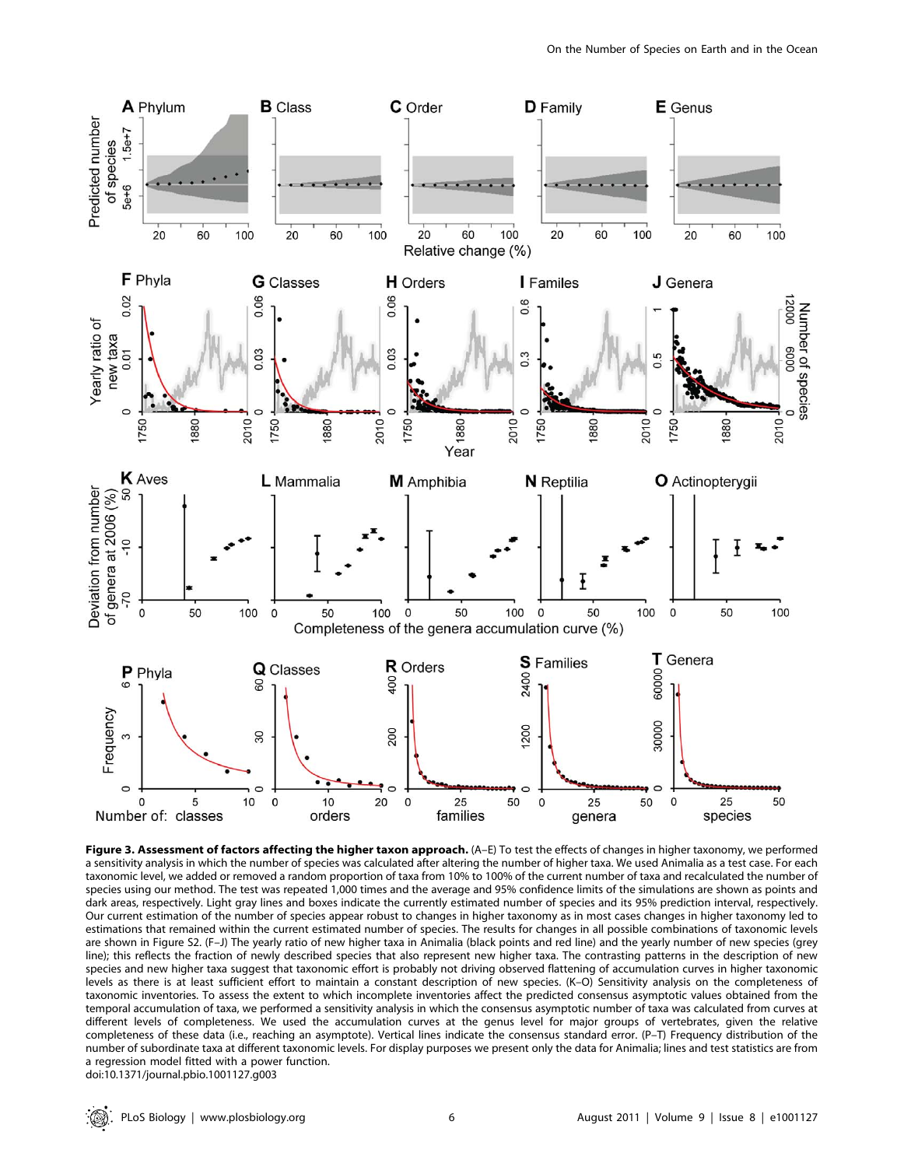

Figure 3. Assessment of factors affecting the higher taxon approach. (A-E) To test the effects of changes in higher taxonomy, we performed a sensitivity analysis in which the number of species was calculated after altering the number of higher taxa. We used Animalia as a test case. For each taxonomic level, we added or removed a random proportion of taxa from 10% to 100% of the current number of taxa and recalculated the number of species using our method. The test was repeated 1,000 times and the average and 95% confidence limits of the simulations are shown as points and dark areas, respectively. Light gray lines and boxes indicate the currently estimated number of species and its 95% prediction interval, respectively. Our current estimation of the number of species appear robust to changes in higher taxonomy as in most cases changes in higher taxonomy led to estimations that remained within the current estimated number of species. The results for changes in all possible combinations of taxonomic levels are shown in Figure S2. (F–J) The yearly ratio of new higher taxa in Animalia (black points and red line) and the yearly number of new species (grey line); this reflects the fraction of newly described species that also represent new higher taxa. The contrasting patterns in the description of new species and new higher taxa suggest that taxonomic effort is probably not driving observed flattening of accumulation curves in higher taxonomic levels as there is at least sufficient effort to maintain a constant description of new species. (K–O) Sensitivity analysis on the completeness of taxonomic inventories. To assess the extent to which incomplete inventories affect the predicted consensus asymptotic values obtained from the temporal accumulation of taxa, we performed a sensitivity analysis in which the consensus asymptotic number of taxa was calculated from curves at different levels of completeness. We used the accumulation curves at the genus level for major groups of vertebrates, given the relative completeness of these data (i.e., reaching an asymptote). Vertical lines indicate the consensus standard error. (P–T) Frequency distribution of the number of subordinate taxa at different taxonomic levels. For display purposes we present only the data for Animalia; lines and test statistics are from a regression model fitted with a power function. doi:10.1371/journal.pbio.1001127.g003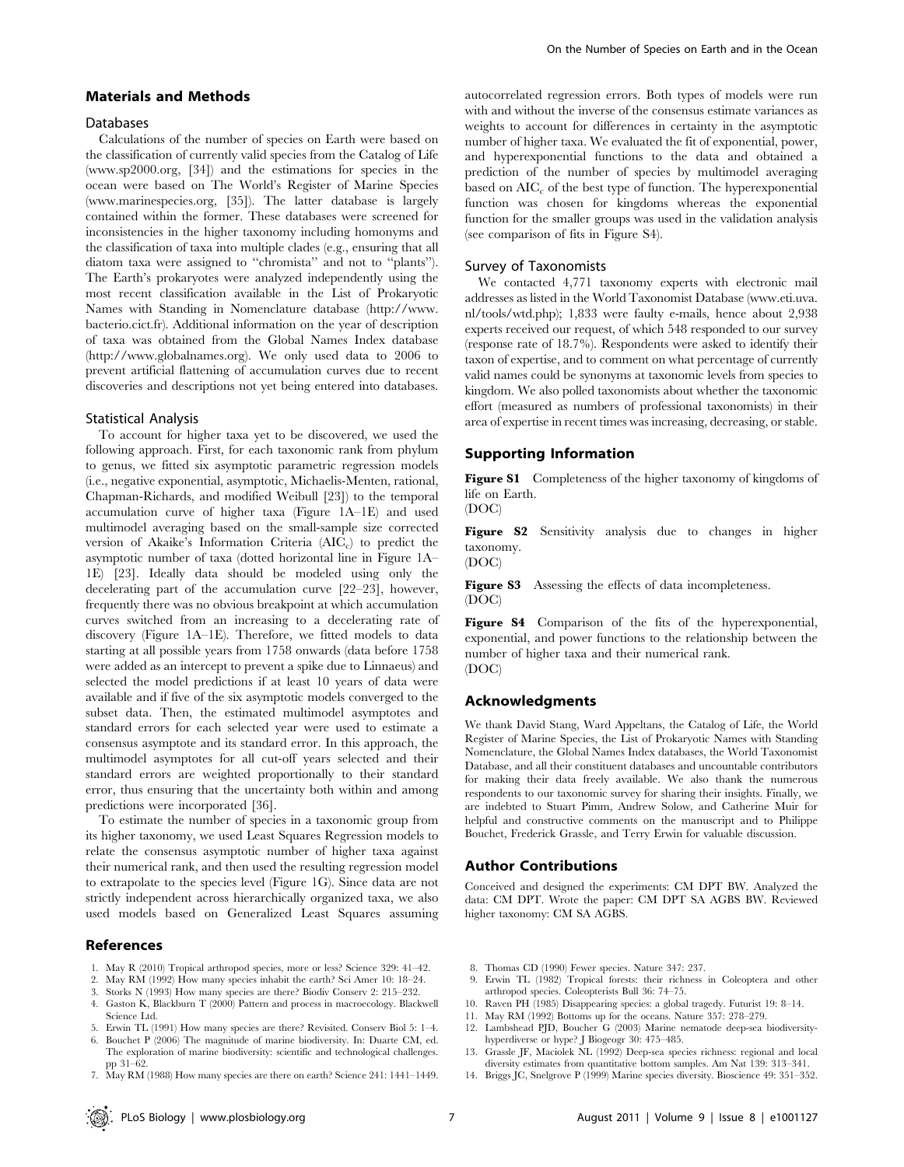### Materials and Methods

#### Databases

Calculations of the number of species on Earth were based on the classification of currently valid species from the Catalog of Life (www.sp2000.org, [34]) and the estimations for species in the ocean were based on The World's Register of Marine Species (www.marinespecies.org, [35]). The latter database is largely contained within the former. These databases were screened for inconsistencies in the higher taxonomy including homonyms and the classification of taxa into multiple clades (e.g., ensuring that all diatom taxa were assigned to ''chromista'' and not to ''plants''). The Earth's prokaryotes were analyzed independently using the most recent classification available in the List of Prokaryotic Names with Standing in Nomenclature database (http://www. bacterio.cict.fr). Additional information on the year of description of taxa was obtained from the Global Names Index database (http://www.globalnames.org). We only used data to 2006 to prevent artificial flattening of accumulation curves due to recent discoveries and descriptions not yet being entered into databases.

#### Statistical Analysis

To account for higher taxa yet to be discovered, we used the following approach. First, for each taxonomic rank from phylum to genus, we fitted six asymptotic parametric regression models (i.e., negative exponential, asymptotic, Michaelis-Menten, rational, Chapman-Richards, and modified Weibull [23]) to the temporal accumulation curve of higher taxa (Figure 1A–1E) and used multimodel averaging based on the small-sample size corrected version of Akaike's Information Criteria  $(AIC<sub>c</sub>)$  to predict the asymptotic number of taxa (dotted horizontal line in Figure 1A– 1E) [23]. Ideally data should be modeled using only the decelerating part of the accumulation curve [22–23], however, frequently there was no obvious breakpoint at which accumulation curves switched from an increasing to a decelerating rate of discovery (Figure 1A–1E). Therefore, we fitted models to data starting at all possible years from 1758 onwards (data before 1758 were added as an intercept to prevent a spike due to Linnaeus) and selected the model predictions if at least 10 years of data were available and if five of the six asymptotic models converged to the subset data. Then, the estimated multimodel asymptotes and standard errors for each selected year were used to estimate a consensus asymptote and its standard error. In this approach, the multimodel asymptotes for all cut-off years selected and their standard errors are weighted proportionally to their standard error, thus ensuring that the uncertainty both within and among predictions were incorporated [36].

To estimate the number of species in a taxonomic group from its higher taxonomy, we used Least Squares Regression models to relate the consensus asymptotic number of higher taxa against their numerical rank, and then used the resulting regression model to extrapolate to the species level (Figure 1G). Since data are not strictly independent across hierarchically organized taxa, we also used models based on Generalized Least Squares assuming

# References

- 1. May R (2010) Tropical arthropod species, more or less? Science 329: 41–42.
- 2. May RM (1992) How many species inhabit the earth? Sci Amer 10: 18–24.
- 3. Storks N (1993) How many species are there? Biodiv Conserv 2: 215–232.
- 4. Gaston K, Blackburn T (2000) Pattern and process in macroecology. Blackwell Science Ltd.
- 5. Erwin TL (1991) How many species are there? Revisited. Conserv Biol 5: 1–4.
- 6. Bouchet P (2006) The magnitude of marine biodiversity. In: Duarte CM, ed. The exploration of marine biodiversity: scientific and technological challenges. pp 31–62.
- 7. May RM (1988) How many species are there on earth? Science 241: 1441–1449.

autocorrelated regression errors. Both types of models were run with and without the inverse of the consensus estimate variances as weights to account for differences in certainty in the asymptotic number of higher taxa. We evaluated the fit of exponential, power, and hyperexponential functions to the data and obtained a prediction of the number of species by multimodel averaging based on  $AIC_c$  of the best type of function. The hyperexponential function was chosen for kingdoms whereas the exponential function for the smaller groups was used in the validation analysis (see comparison of fits in Figure S4).

#### Survey of Taxonomists

We contacted 4,771 taxonomy experts with electronic mail addresses as listed in the World Taxonomist Database (www.eti.uva. nl/tools/wtd.php); 1,833 were faulty e-mails, hence about 2,938 experts received our request, of which 548 responded to our survey (response rate of 18.7%). Respondents were asked to identify their taxon of expertise, and to comment on what percentage of currently valid names could be synonyms at taxonomic levels from species to kingdom. We also polled taxonomists about whether the taxonomic effort (measured as numbers of professional taxonomists) in their area of expertise in recent times was increasing, decreasing, or stable.

#### Supporting Information

Figure S1 Completeness of the higher taxonomy of kingdoms of life on Earth.

(DOC)

Figure S2 Sensitivity analysis due to changes in higher taxonomy. (DOC)

Figure S3 Assessing the effects of data incompleteness. (DOC)

Figure S4 Comparison of the fits of the hyperexponential, exponential, and power functions to the relationship between the number of higher taxa and their numerical rank. (DOC)

#### Acknowledgments

We thank David Stang, Ward Appeltans, the Catalog of Life, the World Register of Marine Species, the List of Prokaryotic Names with Standing Nomenclature, the Global Names Index databases, the World Taxonomist Database, and all their constituent databases and uncountable contributors for making their data freely available. We also thank the numerous respondents to our taxonomic survey for sharing their insights. Finally, we are indebted to Stuart Pimm, Andrew Solow, and Catherine Muir for helpful and constructive comments on the manuscript and to Philippe Bouchet, Frederick Grassle, and Terry Erwin for valuable discussion.

### Author Contributions

Conceived and designed the experiments: CM DPT BW. Analyzed the data: CM DPT. Wrote the paper: CM DPT SA AGBS BW. Reviewed higher taxonomy: CM SA AGBS.

- 8. Thomas CD (1990) Fewer species. Nature 347: 237.
- 9. Erwin TL (1982) Tropical forests: their richness in Coleoptera and other arthropod species. Coleopterists Bull 36: 74–75.
- 10. Raven PH (1985) Disappearing species: a global tragedy. Futurist 19: 8–14.
- 11. May RM (1992) Bottoms up for the oceans. Nature 357: 278–279.
- 12. Lambshead PJD, Boucher G (2003) Marine nematode deep-sea biodiversityhyperdiverse or hype? J Biogeogr 30: 475–485.
- 13. Grassle JF, Maciolek NL (1992) Deep-sea species richness: regional and local diversity estimates from quantitative bottom samples. Am Nat 139: 313–341.
- 14. Briggs JC, Snelgrove P (1999) Marine species diversity. Bioscience 49: 351–352.